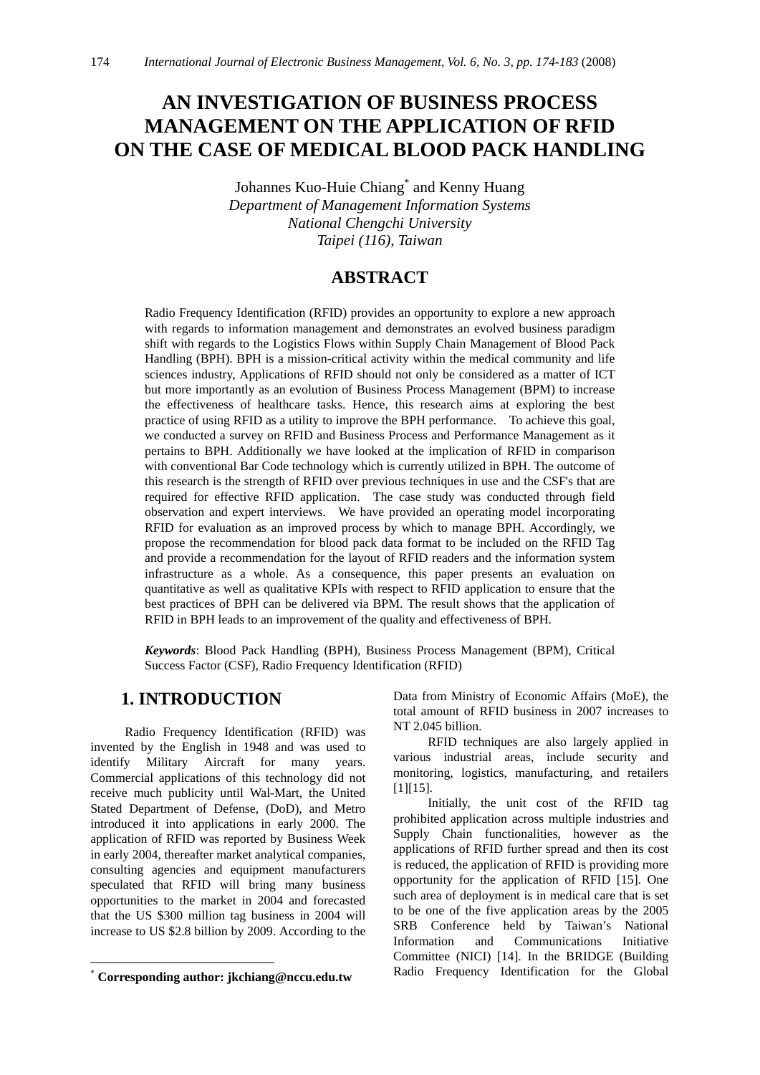# **AN INVESTIGATION OF BUSINESS PROCESS MANAGEMENT ON THE APPLICATION OF RFID ON THE CASE OF MEDICAL BLOOD PACK HANDLING**

Johannes Kuo-Huie Chiang<sup>\*</sup> and Kenny Huang *Department of Management Information Systems National Chengchi University Taipei (116), Taiwan*

# **ABSTRACT**

Radio Frequency Identification (RFID) provides an opportunity to explore a new approach with regards to information management and demonstrates an evolved business paradigm shift with regards to the Logistics Flows within Supply Chain Management of Blood Pack Handling (BPH). BPH is a mission-critical activity within the medical community and life sciences industry, Applications of RFID should not only be considered as a matter of ICT but more importantly as an evolution of Business Process Management (BPM) to increase the effectiveness of healthcare tasks. Hence, this research aims at exploring the best practice of using RFID as a utility to improve the BPH performance. To achieve this goal, we conducted a survey on RFID and Business Process and Performance Management as it pertains to BPH. Additionally we have looked at the implication of RFID in comparison with conventional Bar Code technology which is currently utilized in BPH. The outcome of this research is the strength of RFID over previous techniques in use and the CSF's that are required for effective RFID application. The case study was conducted through field observation and expert interviews. We have provided an operating model incorporating RFID for evaluation as an improved process by which to manage BPH. Accordingly, we propose the recommendation for blood pack data format to be included on the RFID Tag and provide a recommendation for the layout of RFID readers and the information system infrastructure as a whole. As a consequence, this paper presents an evaluation on quantitative as well as qualitative KPIs with respect to RFID application to ensure that the best practices of BPH can be delivered via BPM. The result shows that the application of RFID in BPH leads to an improvement of the quality and effectiveness of BPH.

*Keywords*: Blood Pack Handling (BPH), Business Process Management (BPM), Critical Success Factor (CSF), Radio Frequency Identification (RFID)

# **1. INTRODUCTION**

Radio Frequency Identification (RFID) was invented by the English in 1948 and was used to identify Military Aircraft for many years. Commercial applications of this technology did not receive much publicity until Wal-Mart, the United Stated Department of Defense, (DoD), and Metro introduced it into applications in early 2000. The application of RFID was reported by Business Week in early 2004, thereafter market analytical companies, consulting agencies and equipment manufacturers speculated that RFID will bring many business opportunities to the market in 2004 and forecasted that the US \$300 million tag business in 2004 will increase to US \$2.8 billion by 2009. According to the

1

Data from Ministry of Economic Affairs (MoE), the total amount of RFID business in 2007 increases to NT 2.045 billion.

RFID techniques are also largely applied in various industrial areas, include security and monitoring, logistics, manufacturing, and retailers  $[1]$ [15].

Initially, the unit cost of the RFID tag prohibited application across multiple industries and Supply Chain functionalities, however as the applications of RFID further spread and then its cost is reduced, the application of RFID is providing more opportunity for the application of RFID [15]. One such area of deployment is in medical care that is set to be one of the five application areas by the 2005 SRB Conference held by Taiwan's National Information and Communications Initiative Committee (NICI) [14]. In the BRIDGE (Building Radio Frequency Identification for the Global

<sup>\*</sup> **Corresponding author: jkchiang@nccu.edu.tw**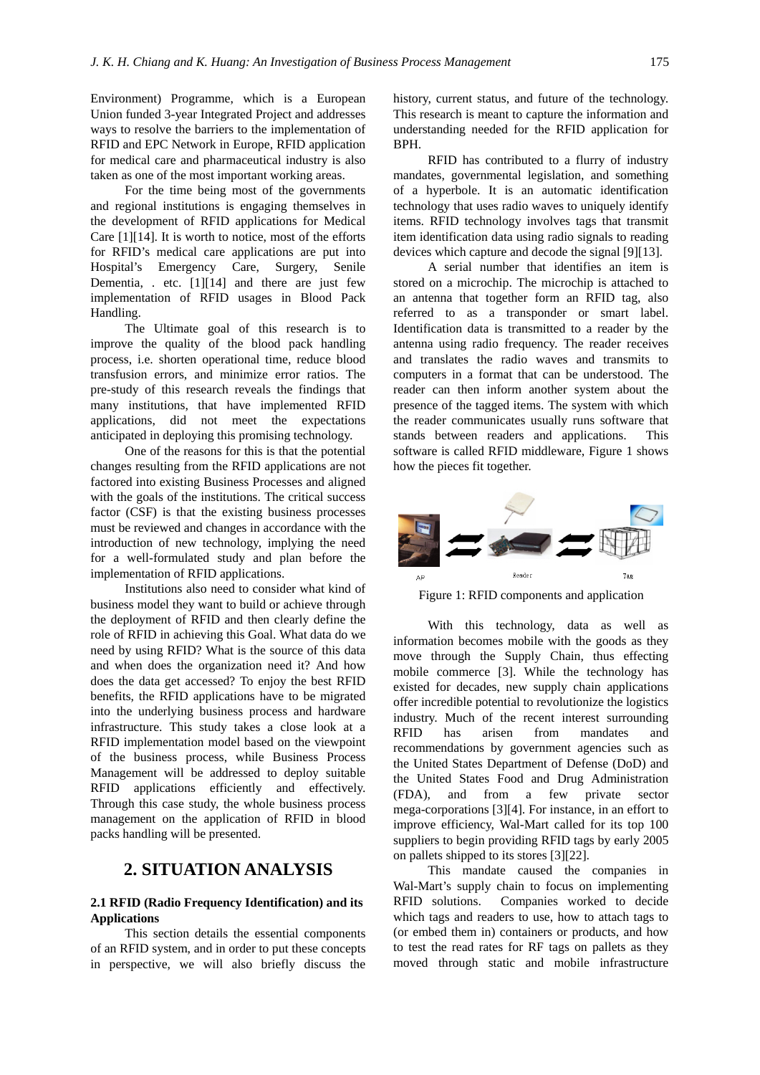Environment) Programme, which is a European Union funded 3-year Integrated Project and addresses ways to resolve the barriers to the implementation of RFID and EPC Network in Europe, RFID application for medical care and pharmaceutical industry is also taken as one of the most important working areas.

For the time being most of the governments and regional institutions is engaging themselves in the development of RFID applications for Medical Care [1][14]. It is worth to notice, most of the efforts for RFID's medical care applications are put into Hospital's Emergency Care, Surgery, Senile Dementia, . etc. [1][14] and there are just few implementation of RFID usages in Blood Pack Handling.

The Ultimate goal of this research is to improve the quality of the blood pack handling process, i.e. shorten operational time, reduce blood transfusion errors, and minimize error ratios. The pre-study of this research reveals the findings that many institutions, that have implemented RFID applications, did not meet the expectations anticipated in deploying this promising technology.

One of the reasons for this is that the potential changes resulting from the RFID applications are not factored into existing Business Processes and aligned with the goals of the institutions. The critical success factor (CSF) is that the existing business processes must be reviewed and changes in accordance with the introduction of new technology, implying the need for a well-formulated study and plan before the implementation of RFID applications.

Institutions also need to consider what kind of business model they want to build or achieve through the deployment of RFID and then clearly define the role of RFID in achieving this Goal. What data do we need by using RFID? What is the source of this data and when does the organization need it? And how does the data get accessed? To enjoy the best RFID benefits, the RFID applications have to be migrated into the underlying business process and hardware infrastructure. This study takes a close look at a RFID implementation model based on the viewpoint of the business process, while Business Process Management will be addressed to deploy suitable RFID applications efficiently and effectively. Through this case study, the whole business process management on the application of RFID in blood packs handling will be presented.

# **2. SITUATION ANALYSIS**

## **2.1 RFID (Radio Frequency Identification) and its Applications**

This section details the essential components of an RFID system, and in order to put these concepts in perspective, we will also briefly discuss the

history, current status, and future of the technology. This research is meant to capture the information and understanding needed for the RFID application for BPH.

RFID has contributed to a flurry of industry mandates, governmental legislation, and something of a hyperbole. It is an automatic identification technology that uses radio waves to uniquely identify items. RFID technology involves tags that transmit item identification data using radio signals to reading devices which capture and decode the signal [9][13].

A serial number that identifies an item is stored on a microchip. The microchip is attached to an antenna that together form an RFID tag, also referred to as a transponder or smart label. Identification data is transmitted to a reader by the antenna using radio frequency. The reader receives and translates the radio waves and transmits to computers in a format that can be understood. The reader can then inform another system about the presence of the tagged items. The system with which the reader communicates usually runs software that stands between readers and applications. This software is called RFID middleware, Figure 1 shows how the pieces fit together.



Figure 1: RFID components and application

With this technology, data as well as information becomes mobile with the goods as they move through the Supply Chain, thus effecting mobile commerce [3]. While the technology has existed for decades, new supply chain applications offer incredible potential to revolutionize the logistics industry. Much of the recent interest surrounding RFID has arisen from mandates and recommendations by government agencies such as the United States Department of Defense (DoD) and the United States Food and Drug Administration (FDA), and from a few private sector mega-corporations [3][4]. For instance, in an effort to improve efficiency, Wal-Mart called for its top 100 suppliers to begin providing RFID tags by early 2005 on pallets shipped to its stores [3][22].

This mandate caused the companies in Wal-Mart's supply chain to focus on implementing RFID solutions. Companies worked to decide which tags and readers to use, how to attach tags to (or embed them in) containers or products, and how to test the read rates for RF tags on pallets as they moved through static and mobile infrastructure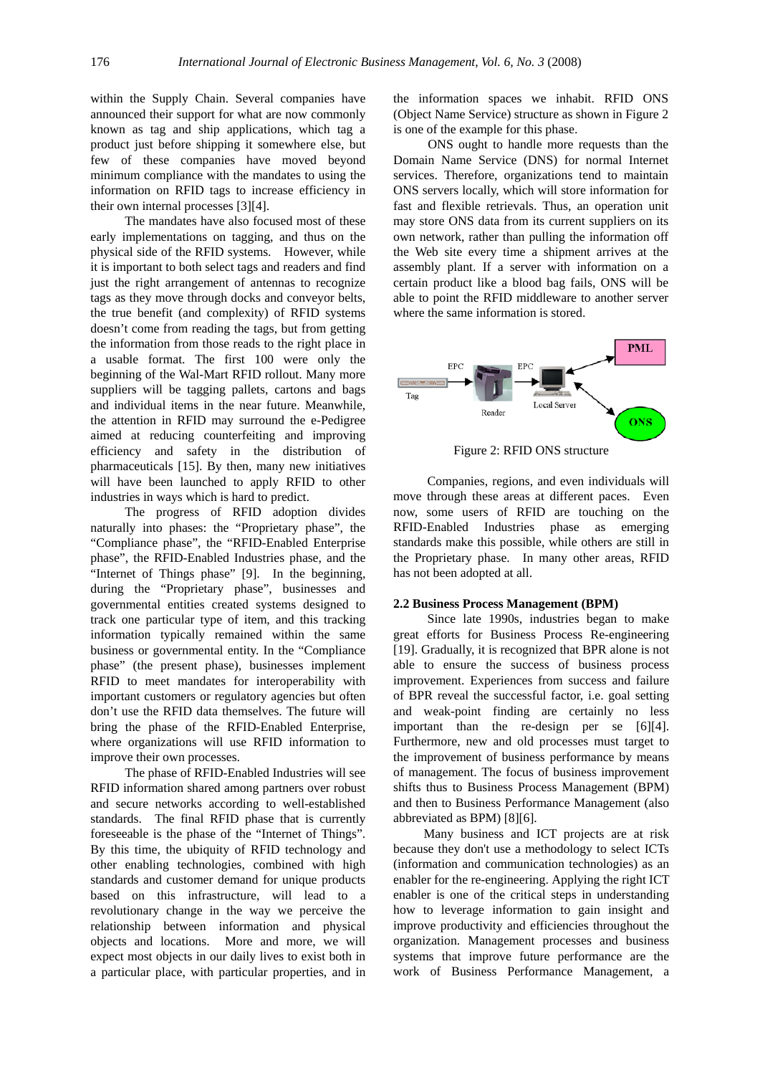within the Supply Chain. Several companies have announced their support for what are now commonly known as tag and ship applications, which tag a product just before shipping it somewhere else, but few of these companies have moved beyond minimum compliance with the mandates to using the information on RFID tags to increase efficiency in their own internal processes [3][4].

The mandates have also focused most of these early implementations on tagging, and thus on the physical side of the RFID systems. However, while it is important to both select tags and readers and find just the right arrangement of antennas to recognize tags as they move through docks and conveyor belts, the true benefit (and complexity) of RFID systems doesn't come from reading the tags, but from getting the information from those reads to the right place in a usable format. The first 100 were only the beginning of the Wal-Mart RFID rollout. Many more suppliers will be tagging pallets, cartons and bags and individual items in the near future. Meanwhile, the attention in RFID may surround the e-Pedigree aimed at reducing counterfeiting and improving efficiency and safety in the distribution of pharmaceuticals [15]. By then, many new initiatives will have been launched to apply RFID to other industries in ways which is hard to predict.

The progress of RFID adoption divides naturally into phases: the "Proprietary phase", the "Compliance phase", the "RFID-Enabled Enterprise phase", the RFID-Enabled Industries phase, and the "Internet of Things phase" [9]. In the beginning, during the "Proprietary phase", businesses and governmental entities created systems designed to track one particular type of item, and this tracking information typically remained within the same business or governmental entity. In the "Compliance phase" (the present phase), businesses implement RFID to meet mandates for interoperability with important customers or regulatory agencies but often don't use the RFID data themselves. The future will bring the phase of the RFID-Enabled Enterprise, where organizations will use RFID information to improve their own processes.

The phase of RFID-Enabled Industries will see RFID information shared among partners over robust and secure networks according to well-established standards. The final RFID phase that is currently foreseeable is the phase of the "Internet of Things". By this time, the ubiquity of RFID technology and other enabling technologies, combined with high standards and customer demand for unique products based on this infrastructure, will lead to a revolutionary change in the way we perceive the relationship between information and physical objects and locations. More and more, we will expect most objects in our daily lives to exist both in a particular place, with particular properties, and in the information spaces we inhabit. RFID ONS (Object Name Service) structure as shown in Figure 2 is one of the example for this phase.

ONS ought to handle more requests than the Domain Name Service (DNS) for normal Internet services. Therefore, organizations tend to maintain ONS servers locally, which will store information for fast and flexible retrievals. Thus, an operation unit may store ONS data from its current suppliers on its own network, rather than pulling the information off the Web site every time a shipment arrives at the assembly plant. If a server with information on a certain product like a blood bag fails, ONS will be able to point the RFID middleware to another server where the same information is stored.



Figure 2: RFID ONS structure

Companies, regions, and even individuals will move through these areas at different paces. Even now, some users of RFID are touching on the RFID-Enabled Industries phase as emerging standards make this possible, while others are still in the Proprietary phase. In many other areas, RFID has not been adopted at all.

### **2.2 Business Process Management (BPM)**

Since late 1990s, industries began to make great efforts for Business Process Re-engineering [19]. Gradually, it is recognized that BPR alone is not able to ensure the success of business process improvement. Experiences from success and failure of BPR reveal the successful factor, i.e. goal setting and weak-point finding are certainly no less important than the re-design per se [6][4]. Furthermore, new and old processes must target to the improvement of business performance by means of management. The focus of business improvement shifts thus to Business Process Management (BPM) and then to Business Performance Management (also abbreviated as BPM) [8][6].

Many business and ICT projects are at risk because they don't use a methodology to select ICTs (information and communication technologies) as an enabler for the re-engineering. Applying the right ICT enabler is one of the critical steps in understanding how to leverage information to gain insight and improve productivity and efficiencies throughout the organization. Management processes and business systems that improve future performance are the work of Business Performance Management, a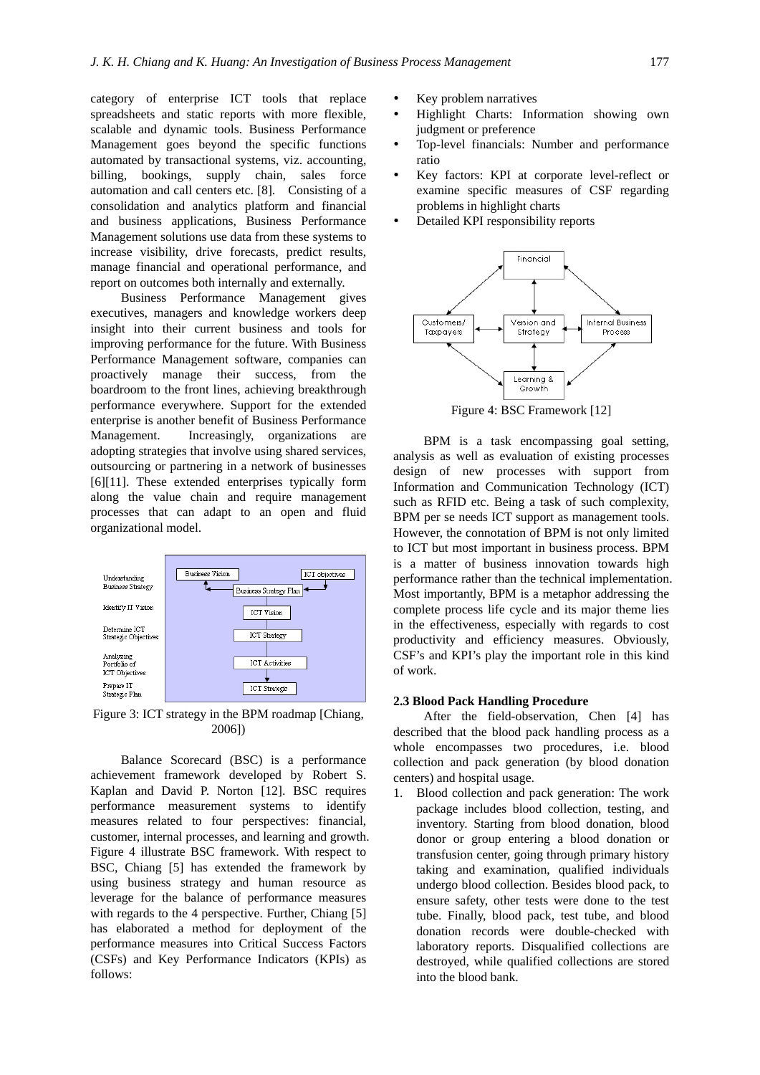category of enterprise ICT tools that replace spreadsheets and static reports with more flexible, scalable and dynamic tools. Business Performance Management goes beyond the specific functions automated by transactional systems, viz. accounting, billing, bookings, supply chain, sales force automation and call centers etc. [8]. Consisting of a consolidation and analytics platform and financial and business applications, Business Performance Management solutions use data from these systems to increase visibility, drive forecasts, predict results, manage financial and operational performance, and report on outcomes both internally and externally.

Business Performance Management gives executives, managers and knowledge workers deep insight into their current business and tools for improving performance for the future. With Business Performance Management software, companies can proactively manage their success, from the boardroom to the front lines, achieving breakthrough performance everywhere. Support for the extended enterprise is another benefit of Business Performance Management. Increasingly, organizations are adopting strategies that involve using shared services, outsourcing or partnering in a network of businesses [6][11]. These extended enterprises typically form along the value chain and require management processes that can adapt to an open and fluid organizational model.



Figure 3: ICT strategy in the BPM roadmap [Chiang, 2006])

Balance Scorecard (BSC) is a performance achievement framework developed by Robert S. Kaplan and David P. Norton [12]. BSC requires performance measurement systems to identify measures related to four perspectives: financial, customer, internal processes, and learning and growth. Figure 4 illustrate BSC framework. With respect to BSC, Chiang [5] has extended the framework by using business strategy and human resource as leverage for the balance of performance measures with regards to the 4 perspective. Further, Chiang [5] has elaborated a method for deployment of the performance measures into Critical Success Factors (CSFs) and Key Performance Indicators (KPIs) as follows:

- Key problem narratives
- Highlight Charts: Information showing own judgment or preference
- Top-level financials: Number and performance ratio
- Key factors: KPI at corporate level-reflect or examine specific measures of CSF regarding problems in highlight charts
- Detailed KPI responsibility reports



Figure 4: BSC Framework [12]

BPM is a task encompassing goal setting, analysis as well as evaluation of existing processes design of new processes with support from Information and Communication Technology (ICT) such as RFID etc. Being a task of such complexity, BPM per se needs ICT support as management tools. However, the connotation of BPM is not only limited to ICT but most important in business process. BPM is a matter of business innovation towards high performance rather than the technical implementation. Most importantly, BPM is a metaphor addressing the complete process life cycle and its major theme lies in the effectiveness, especially with regards to cost productivity and efficiency measures. Obviously, CSF's and KPI's play the important role in this kind of work.

### **2.3 Blood Pack Handling Procedure**

After the field-observation, Chen [4] has described that the blood pack handling process as a whole encompasses two procedures, i.e. blood collection and pack generation (by blood donation centers) and hospital usage.

1. Blood collection and pack generation: The work package includes blood collection, testing, and inventory. Starting from blood donation, blood donor or group entering a blood donation or transfusion center, going through primary history taking and examination, qualified individuals undergo blood collection. Besides blood pack, to ensure safety, other tests were done to the test tube. Finally, blood pack, test tube, and blood donation records were double-checked with laboratory reports. Disqualified collections are destroyed, while qualified collections are stored into the blood bank.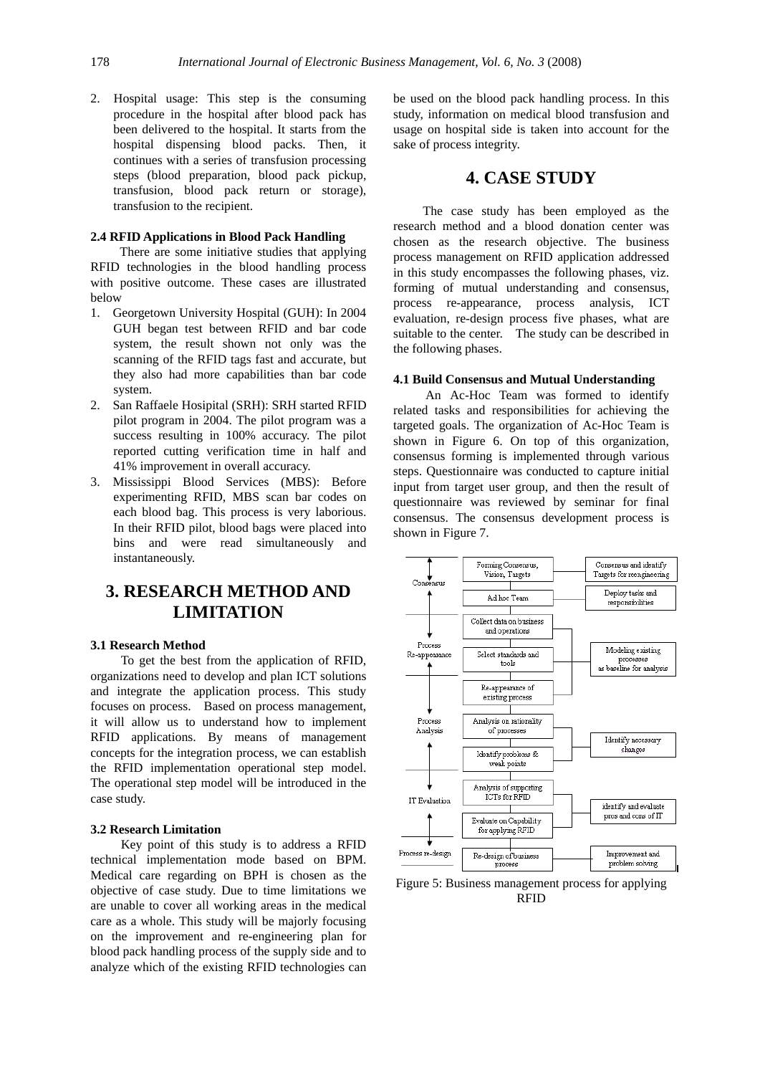2. Hospital usage: This step is the consuming procedure in the hospital after blood pack has been delivered to the hospital. It starts from the hospital dispensing blood packs. Then, it continues with a series of transfusion processing steps (blood preparation, blood pack pickup, transfusion, blood pack return or storage), transfusion to the recipient.

## **2.4 RFID Applications in Blood Pack Handling**

There are some initiative studies that applying RFID technologies in the blood handling process with positive outcome. These cases are illustrated below

- 1. Georgetown University Hospital (GUH): In 2004 GUH began test between RFID and bar code system, the result shown not only was the scanning of the RFID tags fast and accurate, but they also had more capabilities than bar code system.
- 2. San Raffaele Hosipital (SRH): SRH started RFID pilot program in 2004. The pilot program was a success resulting in 100% accuracy. The pilot reported cutting verification time in half and 41% improvement in overall accuracy.
- 3. Mississippi Blood Services (MBS): Before experimenting RFID, MBS scan bar codes on each blood bag. This process is very laborious. In their RFID pilot, blood bags were placed into bins and were read simultaneously and instantaneously.

# **3. RESEARCH METHOD AND LIMITATION**

### **3.1 Research Method**

To get the best from the application of RFID, organizations need to develop and plan ICT solutions and integrate the application process. This study focuses on process. Based on process management, it will allow us to understand how to implement RFID applications. By means of management concepts for the integration process, we can establish the RFID implementation operational step model. The operational step model will be introduced in the case study.

## **3.2 Research Limitation**

Key point of this study is to address a RFID technical implementation mode based on BPM. Medical care regarding on BPH is chosen as the objective of case study. Due to time limitations we are unable to cover all working areas in the medical care as a whole. This study will be majorly focusing on the improvement and re-engineering plan for blood pack handling process of the supply side and to analyze which of the existing RFID technologies can be used on the blood pack handling process. In this study, information on medical blood transfusion and usage on hospital side is taken into account for the sake of process integrity.

# **4. CASE STUDY**

The case study has been employed as the research method and a blood donation center was chosen as the research objective. The business process management on RFID application addressed in this study encompasses the following phases, viz. forming of mutual understanding and consensus, process re-appearance, process analysis, ICT evaluation, re-design process five phases, what are suitable to the center. The study can be described in the following phases.

### **4.1 Build Consensus and Mutual Understanding**

An Ac-Hoc Team was formed to identify related tasks and responsibilities for achieving the targeted goals. The organization of Ac-Hoc Team is shown in Figure 6. On top of this organization, consensus forming is implemented through various steps. Questionnaire was conducted to capture initial input from target user group, and then the result of questionnaire was reviewed by seminar for final consensus. The consensus development process is shown in Figure 7.



Figure 5: Business management process for applying RFID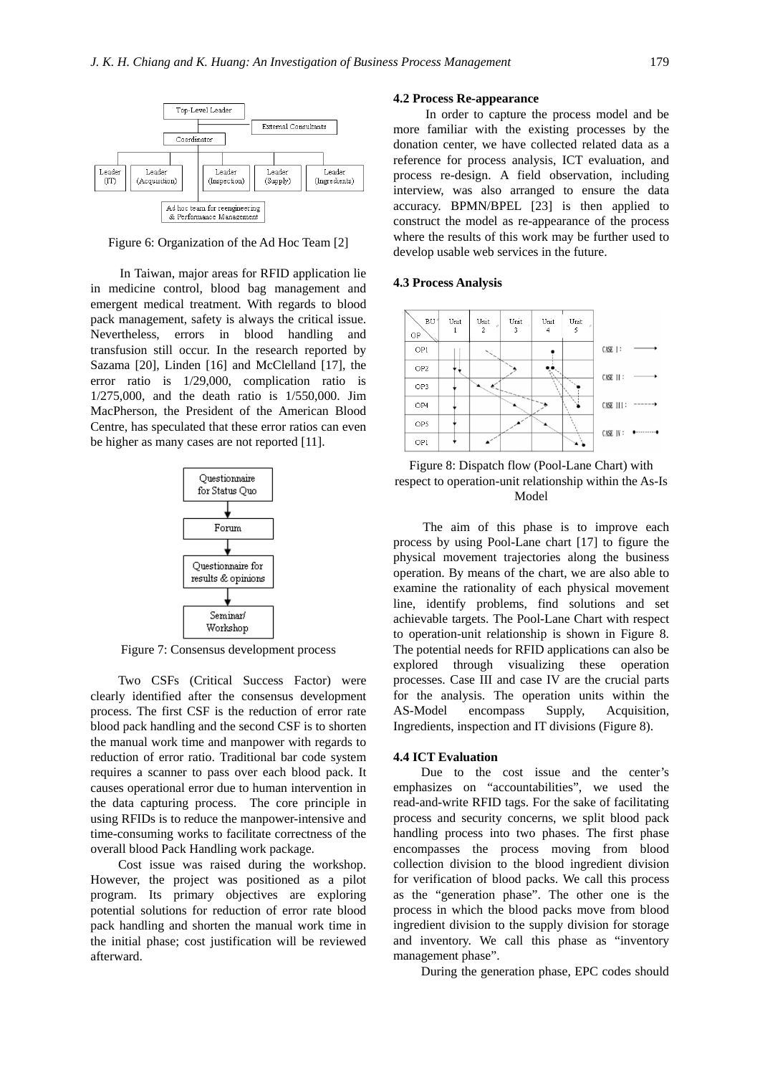

Figure 6: Organization of the Ad Hoc Team [2]

In Taiwan, major areas for RFID application lie in medicine control, blood bag management and emergent medical treatment. With regards to blood pack management, safety is always the critical issue. Nevertheless, errors in blood handling and transfusion still occur. In the research reported by Sazama [20], Linden [16] and McClelland [17], the error ratio is 1/29,000, complication ratio is 1/275,000, and the death ratio is 1/550,000. Jim MacPherson, the President of the American Blood Centre, has speculated that these error ratios can even be higher as many cases are not reported [11].



Figure 7: Consensus development process

Two CSFs (Critical Success Factor) were clearly identified after the consensus development process. The first CSF is the reduction of error rate blood pack handling and the second CSF is to shorten the manual work time and manpower with regards to reduction of error ratio. Traditional bar code system requires a scanner to pass over each blood pack. It causes operational error due to human intervention in the data capturing process. The core principle in using RFIDs is to reduce the manpower-intensive and time-consuming works to facilitate correctness of the overall blood Pack Handling work package.

Cost issue was raised during the workshop. However, the project was positioned as a pilot program. Its primary objectives are exploring potential solutions for reduction of error rate blood pack handling and shorten the manual work time in the initial phase; cost justification will be reviewed afterward.

#### **4.2 Process Re-appearance**

In order to capture the process model and be more familiar with the existing processes by the donation center, we have collected related data as a reference for process analysis, ICT evaluation, and process re-design. A field observation, including interview, was also arranged to ensure the data accuracy. BPMN/BPEL [23] is then applied to construct the model as re-appearance of the process where the results of this work may be further used to develop usable web services in the future.

#### **4.3 Process Analysis**





The aim of this phase is to improve each process by using Pool-Lane chart [17] to figure the physical movement trajectories along the business operation. By means of the chart, we are also able to examine the rationality of each physical movement line, identify problems, find solutions and set achievable targets. The Pool-Lane Chart with respect to operation-unit relationship is shown in Figure 8. The potential needs for RFID applications can also be explored through visualizing these operation processes. Case III and case IV are the crucial parts for the analysis. The operation units within the AS-Model encompass Supply, Acquisition, Ingredients, inspection and IT divisions (Figure 8).

#### **4.4 ICT Evaluation**

Due to the cost issue and the center's emphasizes on "accountabilities", we used the read-and-write RFID tags. For the sake of facilitating process and security concerns, we split blood pack handling process into two phases. The first phase encompasses the process moving from blood collection division to the blood ingredient division for verification of blood packs. We call this process as the "generation phase". The other one is the process in which the blood packs move from blood ingredient division to the supply division for storage and inventory. We call this phase as "inventory management phase".

During the generation phase, EPC codes should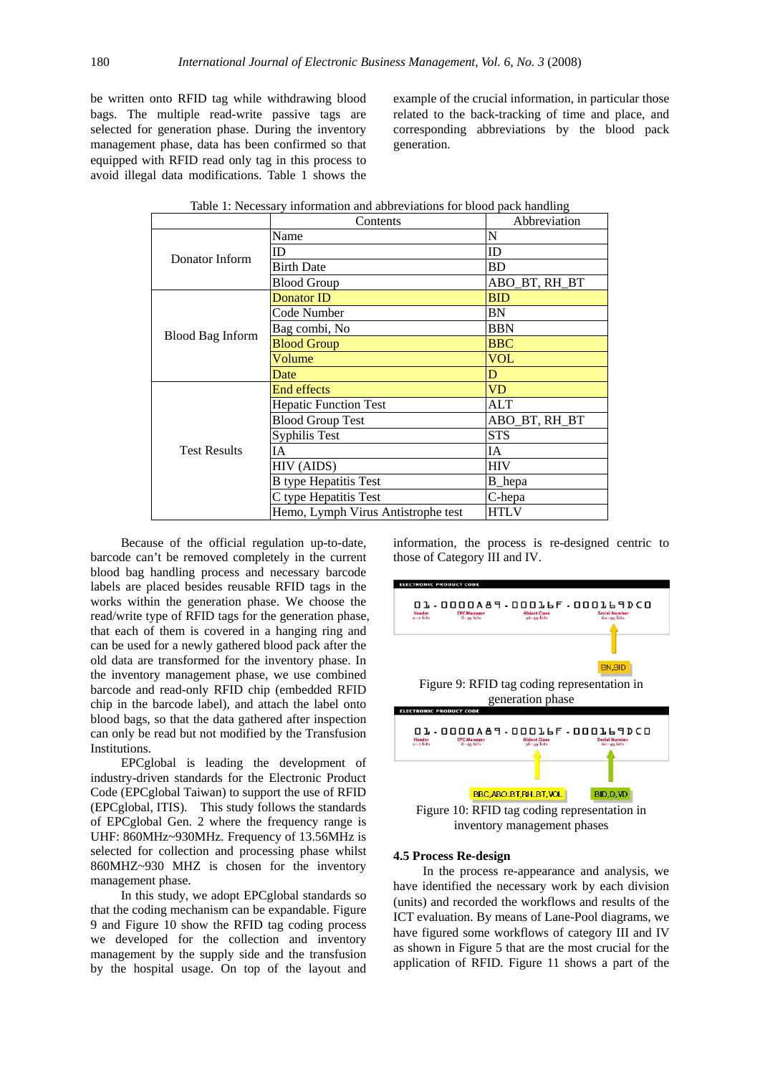be written onto RFID tag while withdrawing blood bags. The multiple read-write passive tags are selected for generation phase. During the inventory management phase, data has been confirmed so that equipped with RFID read only tag in this process to avoid illegal data modifications. Table 1 shows the

example of the crucial information, in particular those related to the back-tracking of time and place, and corresponding abbreviations by the blood pack generation.

|                     | Contents                           |               |
|---------------------|------------------------------------|---------------|
| Donator Inform      | Name                               | N             |
|                     | ID                                 | ID            |
|                     | <b>Birth Date</b>                  | BD            |
|                     | <b>Blood Group</b>                 | ABO BT, RH BT |
|                     | <b>Donator ID</b>                  | <b>BID</b>    |
|                     | Code Number                        | BN            |
|                     | Bag combi, No                      | BBN           |
| Blood Bag Inform    | <b>Blood Group</b>                 | <b>BBC</b>    |
|                     | Volume                             | <b>VOL</b>    |
|                     | Date                               | $\mathbf D$   |
|                     | End effects                        | <b>VD</b>     |
|                     | <b>Hepatic Function Test</b>       | ALT           |
|                     | <b>Blood Group Test</b>            | ABO BT, RH BT |
|                     | Syphilis Test                      | <b>STS</b>    |
| <b>Test Results</b> | <b>IA</b>                          | IA            |
|                     | HIV (AIDS)                         | <b>HIV</b>    |
|                     | <b>B</b> type Hepatitis Test       | B_hepa        |
|                     | C type Hepatitis Test              | C-hepa        |
|                     | Hemo, Lymph Virus Antistrophe test | <b>HTLV</b>   |

| Table 1: Necessary information and abbreviations for blood pack handling |  |  |  |  |  |  |  |  |  |  |
|--------------------------------------------------------------------------|--|--|--|--|--|--|--|--|--|--|
|--------------------------------------------------------------------------|--|--|--|--|--|--|--|--|--|--|

Because of the official regulation up-to-date, barcode can't be removed completely in the current blood bag handling process and necessary barcode labels are placed besides reusable RFID tags in the works within the generation phase. We choose the read/write type of RFID tags for the generation phase, that each of them is covered in a hanging ring and can be used for a newly gathered blood pack after the old data are transformed for the inventory phase. In the inventory management phase, we use combined barcode and read-only RFID chip (embedded RFID chip in the barcode label), and attach the label onto blood bags, so that the data gathered after inspection can only be read but not modified by the Transfusion Institutions.

EPCglobal is leading the development of industry-driven standards for the Electronic Product Code (EPCglobal Taiwan) to support the use of RFID (EPCglobal, ITIS). This study follows the standards of EPCglobal Gen. 2 where the frequency range is UHF: 860MHz~930MHz. Frequency of 13.56MHz is selected for collection and processing phase whilst 860MHZ~930 MHZ is chosen for the inventory management phase.

In this study, we adopt EPCglobal standards so that the coding mechanism can be expandable. Figure 9 and Figure 10 show the RFID tag coding process we developed for the collection and inventory management by the supply side and the transfusion by the hospital usage. On top of the layout and information, the process is re-designed centric to those of Category III and IV.



inventory management phases

#### **4.5 Process Re-design**

In the process re-appearance and analysis, we have identified the necessary work by each division (units) and recorded the workflows and results of the ICT evaluation. By means of Lane-Pool diagrams, we have figured some workflows of category III and IV as shown in Figure 5 that are the most crucial for the application of RFID. Figure 11 shows a part of the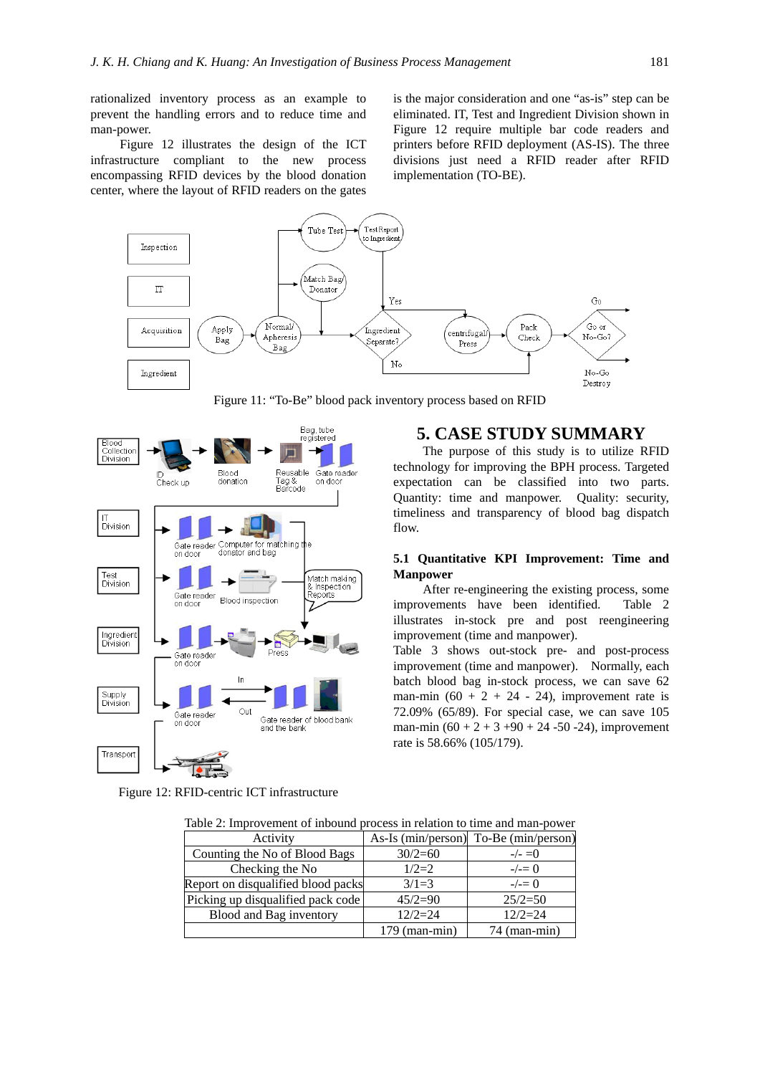rationalized inventory process as an example to prevent the handling errors and to reduce time and man-power.

Figure 12 illustrates the design of the ICT infrastructure compliant to the new process encompassing RFID devices by the blood donation center, where the layout of RFID readers on the gates is the major consideration and one "as-is" step can be eliminated. IT, Test and Ingredient Division shown in Figure 12 require multiple bar code readers and printers before RFID deployment (AS-IS). The three divisions just need a RFID reader after RFID implementation (TO-BE).

**5. CASE STUDY SUMMARY**  The purpose of this study is to utilize RFID technology for improving the BPH process. Targeted expectation can be classified into two parts. Quantity: time and manpower. Quality: security, timeliness and transparency of blood bag dispatch

**5.1 Quantitative KPI Improvement: Time and** 

Table 3 shows out-stock pre- and post-process improvement (time and manpower). Normally, each batch blood bag in-stock process, we can save 62 man-min (60 + 2 + 24 - 24), improvement rate is 72.09% (65/89). For special case, we can save 105 man-min  $(60 + 2 + 3 + 90 + 24 - 50 - 24)$ , improvement

improvement (time and manpower).

rate is 58.66% (105/179).

After re-engineering the existing process, some improvements have been identified. Table 2 illustrates in-stock pre and post reengineering



Figure 11: "To-Be" blood pack inventory process based on RFID

flow.

**Manpower** 



Figure 12: RFID-centric ICT infrastructure

| Tuote 2, http://which.of mooding process in relation to thine and man_power |                    |                    |
|-----------------------------------------------------------------------------|--------------------|--------------------|
| Activity                                                                    | As-Is (min/person) | To-Be (min/person) |
| Counting the No of Blood Bags                                               | $30/2=60$          | $-/- = 0$          |
| Checking the No                                                             | $1/2=2$            | $-\prime = 0$      |
| Report on disqualified blood packs                                          | $3/1=3$            | $-\prime = 0$      |
| Picking up disqualified pack code                                           | $45/2=90$          | $25/2=50$          |
| Blood and Bag inventory                                                     | $12/2=24$          | $12/2=24$          |
|                                                                             | $179$ (man-min)    | $74$ (man-min)     |

Table 2: Improvement of inbound process in relation to time and man-power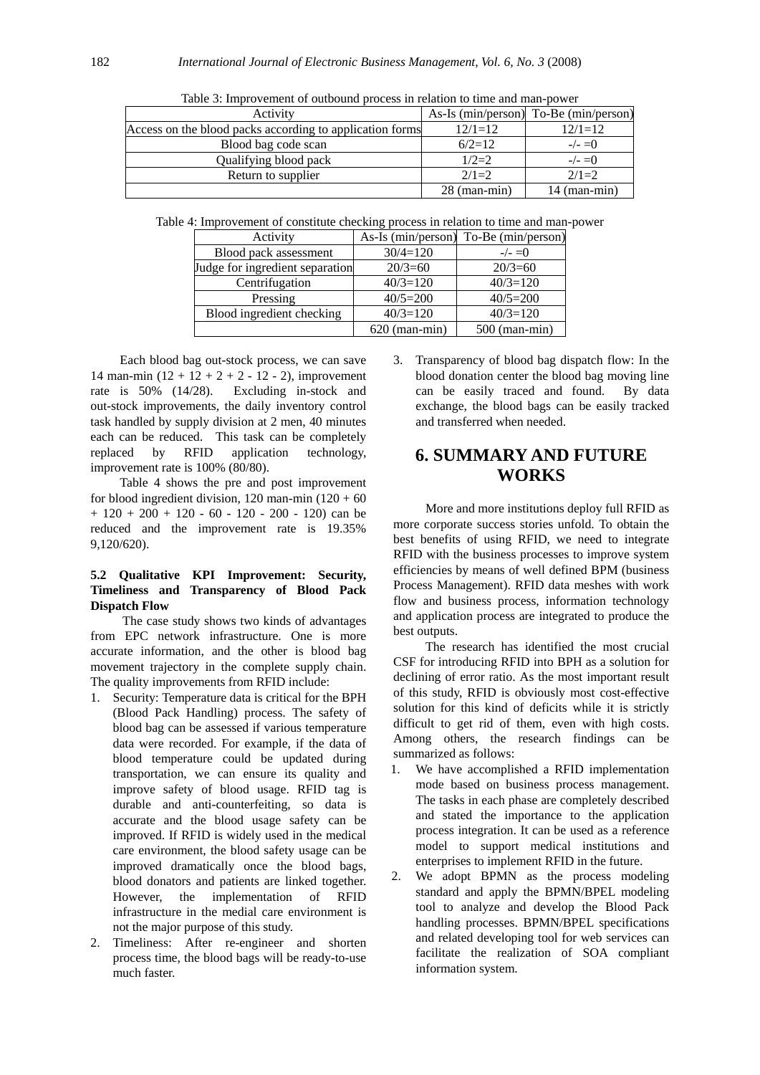| Activity                                                 |                | As-Is (min/person) To-Be (min/person) |
|----------------------------------------------------------|----------------|---------------------------------------|
| Access on the blood packs according to application forms | $12/1=12$      | $12/1=12$                             |
| Blood bag code scan                                      | $6/2=12$       | $-\angle 0$                           |
| Qualifying blood pack                                    | $1/2=2$        | $-\angle = 0$                         |
| Return to supplier                                       | $2/1=2$        | $2/1=2$                               |
|                                                          | $28$ (man-min) | $14$ (man-min)                        |

Table 3: Improvement of outbound process in relation to time and man-power

Table 4: Improvement of constitute checking process in relation to time and man-power

| Activity                        |                 | As-Is (min/person) To-Be (min/person) |  |
|---------------------------------|-----------------|---------------------------------------|--|
| Blood pack assessment           | $30/4=120$      | $-/- = 0$                             |  |
| Judge for ingredient separation | $20/3 = 60$     | $20/3 = 60$                           |  |
| Centrifugation                  | $40/3=120$      | $40/3=120$                            |  |
| Pressing                        | $40/5=200$      | $40/5=200$                            |  |
| Blood ingredient checking       | $40/3=120$      | $40/3=120$                            |  |
|                                 | $620$ (man-min) | $500$ (man-min)                       |  |

Each blood bag out-stock process, we can save 14 man-min  $(12 + 12 + 2 + 2 - 12 - 2)$ , improvement rate is 50% (14/28). Excluding in-stock and out-stock improvements, the daily inventory control task handled by supply division at 2 men, 40 minutes each can be reduced. This task can be completely replaced by RFID application technology, improvement rate is 100% (80/80).

Table 4 shows the pre and post improvement for blood ingredient division, 120 man-min  $(120 + 60)$  $+ 120 + 200 + 120 - 60 - 120 - 200 - 120$  can be reduced and the improvement rate is 19.35% 9,120/620).

## **5.2 Qualitative KPI Improvement: Security, Timeliness and Transparency of Blood Pack Dispatch Flow**

The case study shows two kinds of advantages from EPC network infrastructure. One is more accurate information, and the other is blood bag movement trajectory in the complete supply chain. The quality improvements from RFID include:

- 1. Security: Temperature data is critical for the BPH (Blood Pack Handling) process. The safety of blood bag can be assessed if various temperature data were recorded. For example, if the data of blood temperature could be updated during transportation, we can ensure its quality and improve safety of blood usage. RFID tag is durable and anti-counterfeiting, so data is accurate and the blood usage safety can be improved. If RFID is widely used in the medical care environment, the blood safety usage can be improved dramatically once the blood bags, blood donators and patients are linked together. However, the implementation of RFID infrastructure in the medial care environment is not the major purpose of this study.
- 2. Timeliness: After re-engineer and shorten process time, the blood bags will be ready-to-use much faster.

3. Transparency of blood bag dispatch flow: In the blood donation center the blood bag moving line can be easily traced and found. By data exchange, the blood bags can be easily tracked and transferred when needed.

# **6. SUMMARY AND FUTURE WORKS**

More and more institutions deploy full RFID as more corporate success stories unfold. To obtain the best benefits of using RFID, we need to integrate RFID with the business processes to improve system efficiencies by means of well defined BPM (business Process Management). RFID data meshes with work flow and business process, information technology and application process are integrated to produce the best outputs.

The research has identified the most crucial CSF for introducing RFID into BPH as a solution for declining of error ratio. As the most important result of this study, RFID is obviously most cost-effective solution for this kind of deficits while it is strictly difficult to get rid of them, even with high costs. Among others, the research findings can be summarized as follows:

- 1. We have accomplished a RFID implementation mode based on business process management. The tasks in each phase are completely described and stated the importance to the application process integration. It can be used as a reference model to support medical institutions and enterprises to implement RFID in the future.
- 2. We adopt BPMN as the process modeling standard and apply the BPMN/BPEL modeling tool to analyze and develop the Blood Pack handling processes. BPMN/BPEL specifications and related developing tool for web services can facilitate the realization of SOA compliant information system.